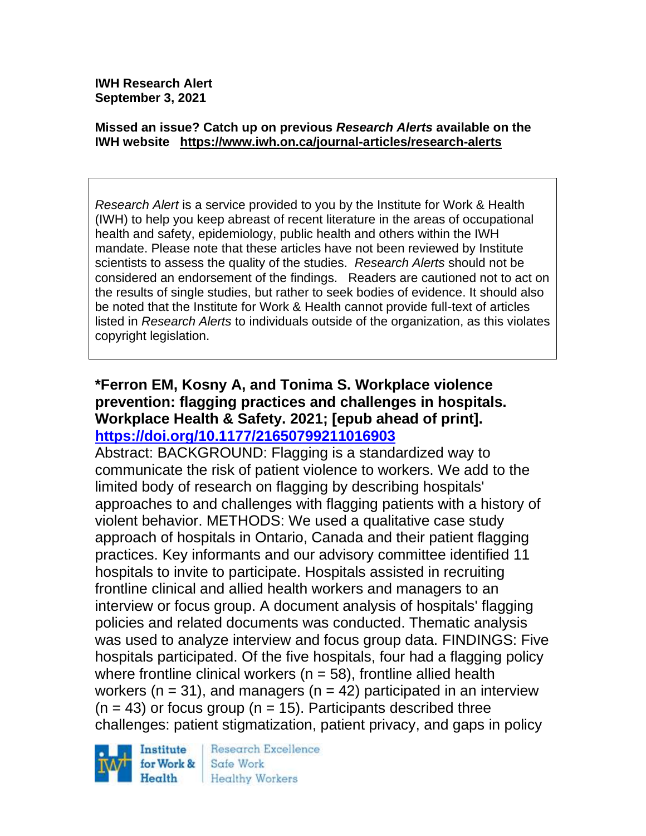**IWH Research Alert September 3, 2021**

#### **Missed an issue? Catch up on previous** *Research Alerts* **available on the [IWH website](http://www.iwh.on.ca/research-alerts) <https://www.iwh.on.ca/journal-articles/research-alerts>**

*Research Alert* is a service provided to you by the Institute for Work & Health (IWH) to help you keep abreast of recent literature in the areas of occupational health and safety, epidemiology, public health and others within the IWH mandate. Please note that these articles have not been reviewed by Institute scientists to assess the quality of the studies. *Research Alerts* should not be considered an endorsement of the findings. Readers are cautioned not to act on the results of single studies, but rather to seek bodies of evidence. It should also be noted that the Institute for Work & Health cannot provide full-text of articles listed in *Research Alerts* to individuals outside of the organization, as this violates copyright legislation.

### **\*Ferron EM, Kosny A, and Tonima S. Workplace violence prevention: flagging practices and challenges in hospitals. Workplace Health & Safety. 2021; [epub ahead of print]. <https://doi.org/10.1177/21650799211016903>**

Abstract: BACKGROUND: Flagging is a standardized way to communicate the risk of patient violence to workers. We add to the limited body of research on flagging by describing hospitals' approaches to and challenges with flagging patients with a history of violent behavior. METHODS: We used a qualitative case study approach of hospitals in Ontario, Canada and their patient flagging practices. Key informants and our advisory committee identified 11 hospitals to invite to participate. Hospitals assisted in recruiting frontline clinical and allied health workers and managers to an interview or focus group. A document analysis of hospitals' flagging policies and related documents was conducted. Thematic analysis was used to analyze interview and focus group data. FINDINGS: Five hospitals participated. Of the five hospitals, four had a flagging policy where frontline clinical workers ( $n = 58$ ), frontline allied health workers ( $n = 31$ ), and managers ( $n = 42$ ) participated in an interview  $(n = 43)$  or focus group  $(n = 15)$ . Participants described three challenges: patient stigmatization, patient privacy, and gaps in policy



Research Excellence Safe Work **Healthy Workers**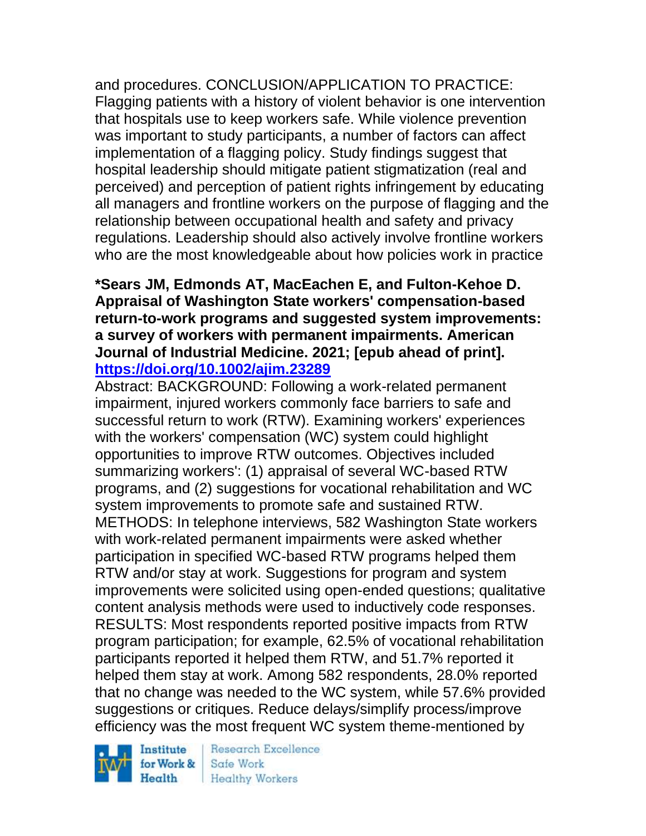and procedures. CONCLUSION/APPLICATION TO PRACTICE: Flagging patients with a history of violent behavior is one intervention that hospitals use to keep workers safe. While violence prevention was important to study participants, a number of factors can affect implementation of a flagging policy. Study findings suggest that hospital leadership should mitigate patient stigmatization (real and perceived) and perception of patient rights infringement by educating all managers and frontline workers on the purpose of flagging and the relationship between occupational health and safety and privacy regulations. Leadership should also actively involve frontline workers who are the most knowledgeable about how policies work in practice

### **\*Sears JM, Edmonds AT, MacEachen E, and Fulton-Kehoe D. Appraisal of Washington State workers' compensation-based return-to-work programs and suggested system improvements: a survey of workers with permanent impairments. American Journal of Industrial Medicine. 2021; [epub ahead of print]. <https://doi.org/10.1002/ajim.23289>**

Abstract: BACKGROUND: Following a work-related permanent impairment, injured workers commonly face barriers to safe and successful return to work (RTW). Examining workers' experiences with the workers' compensation (WC) system could highlight opportunities to improve RTW outcomes. Objectives included summarizing workers': (1) appraisal of several WC-based RTW programs, and (2) suggestions for vocational rehabilitation and WC system improvements to promote safe and sustained RTW. METHODS: In telephone interviews, 582 Washington State workers with work-related permanent impairments were asked whether participation in specified WC-based RTW programs helped them RTW and/or stay at work. Suggestions for program and system improvements were solicited using open-ended questions; qualitative content analysis methods were used to inductively code responses. RESULTS: Most respondents reported positive impacts from RTW program participation; for example, 62.5% of vocational rehabilitation participants reported it helped them RTW, and 51.7% reported it helped them stay at work. Among 582 respondents, 28.0% reported that no change was needed to the WC system, while 57.6% provided suggestions or critiques. Reduce delays/simplify process/improve efficiency was the most frequent WC system theme-mentioned by

Institute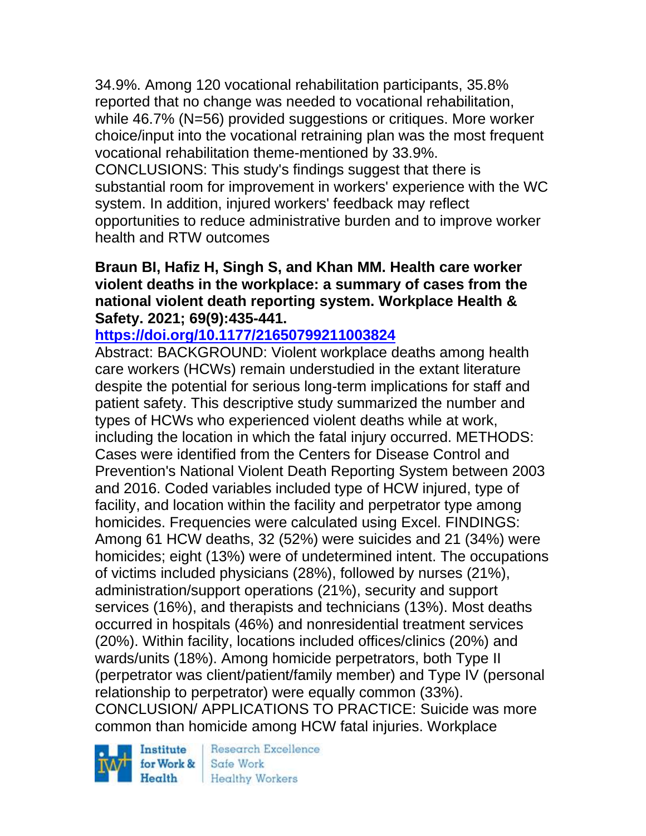34.9%. Among 120 vocational rehabilitation participants, 35.8% reported that no change was needed to vocational rehabilitation, while 46.7% (N=56) provided suggestions or critiques. More worker choice/input into the vocational retraining plan was the most frequent vocational rehabilitation theme-mentioned by 33.9%. CONCLUSIONS: This study's findings suggest that there is substantial room for improvement in workers' experience with the WC system. In addition, injured workers' feedback may reflect opportunities to reduce administrative burden and to improve worker health and RTW outcomes

### **Braun BI, Hafiz H, Singh S, and Khan MM. Health care worker violent deaths in the workplace: a summary of cases from the national violent death reporting system. Workplace Health & Safety. 2021; 69(9):435-441.**

# **<https://doi.org/10.1177/21650799211003824>**

Abstract: BACKGROUND: Violent workplace deaths among health care workers (HCWs) remain understudied in the extant literature despite the potential for serious long-term implications for staff and patient safety. This descriptive study summarized the number and types of HCWs who experienced violent deaths while at work, including the location in which the fatal injury occurred. METHODS: Cases were identified from the Centers for Disease Control and Prevention's National Violent Death Reporting System between 2003 and 2016. Coded variables included type of HCW injured, type of facility, and location within the facility and perpetrator type among homicides. Frequencies were calculated using Excel. FINDINGS: Among 61 HCW deaths, 32 (52%) were suicides and 21 (34%) were homicides; eight (13%) were of undetermined intent. The occupations of victims included physicians (28%), followed by nurses (21%), administration/support operations (21%), security and support services (16%), and therapists and technicians (13%). Most deaths occurred in hospitals (46%) and nonresidential treatment services (20%). Within facility, locations included offices/clinics (20%) and wards/units (18%). Among homicide perpetrators, both Type II (perpetrator was client/patient/family member) and Type IV (personal relationship to perpetrator) were equally common (33%). CONCLUSION/ APPLICATIONS TO PRACTICE: Suicide was more common than homicide among HCW fatal injuries. Workplace

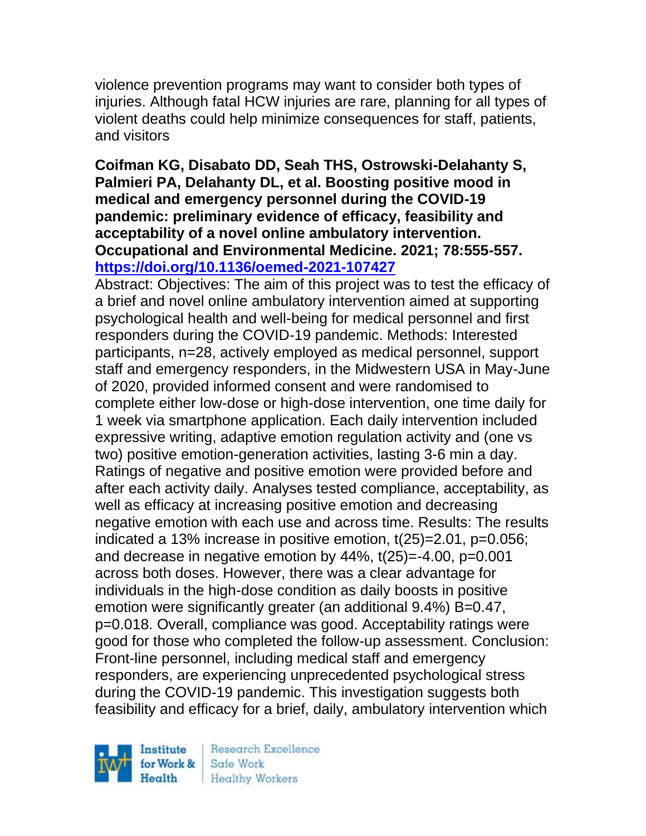violence prevention programs may want to consider both types of injuries. Although fatal HCW injuries are rare, planning for all types of violent deaths could help minimize consequences for staff, patients, and visitors

## **Coifman KG, Disabato DD, Seah THS, Ostrowski-Delahanty S, Palmieri PA, Delahanty DL, et al. Boosting positive mood in medical and emergency personnel during the COVID-19 pandemic: preliminary evidence of efficacy, feasibility and acceptability of a novel online ambulatory intervention. Occupational and Environmental Medicine. 2021; 78:555-557. <https://doi.org/10.1136/oemed-2021-107427>**

Abstract: Objectives: The aim of this project was to test the efficacy of a brief and novel online ambulatory intervention aimed at supporting psychological health and well-being for medical personnel and first responders during the COVID-19 pandemic. Methods: Interested participants, n=28, actively employed as medical personnel, support staff and emergency responders, in the Midwestern USA in May-June of 2020, provided informed consent and were randomised to complete either low-dose or high-dose intervention, one time daily for 1 week via smartphone application. Each daily intervention included expressive writing, adaptive emotion regulation activity and (one vs two) positive emotion-generation activities, lasting 3-6 min a day. Ratings of negative and positive emotion were provided before and after each activity daily. Analyses tested compliance, acceptability, as well as efficacy at increasing positive emotion and decreasing negative emotion with each use and across time. Results: The results indicated a 13% increase in positive emotion, t(25)=2.01, p=0.056; and decrease in negative emotion by 44%, t(25)=-4.00, p=0.001 across both doses. However, there was a clear advantage for individuals in the high-dose condition as daily boosts in positive emotion were significantly greater (an additional 9.4%) B=0.47, p=0.018. Overall, compliance was good. Acceptability ratings were good for those who completed the follow-up assessment. Conclusion: Front-line personnel, including medical staff and emergency responders, are experiencing unprecedented psychological stress during the COVID-19 pandemic. This investigation suggests both feasibility and efficacy for a brief, daily, ambulatory intervention which

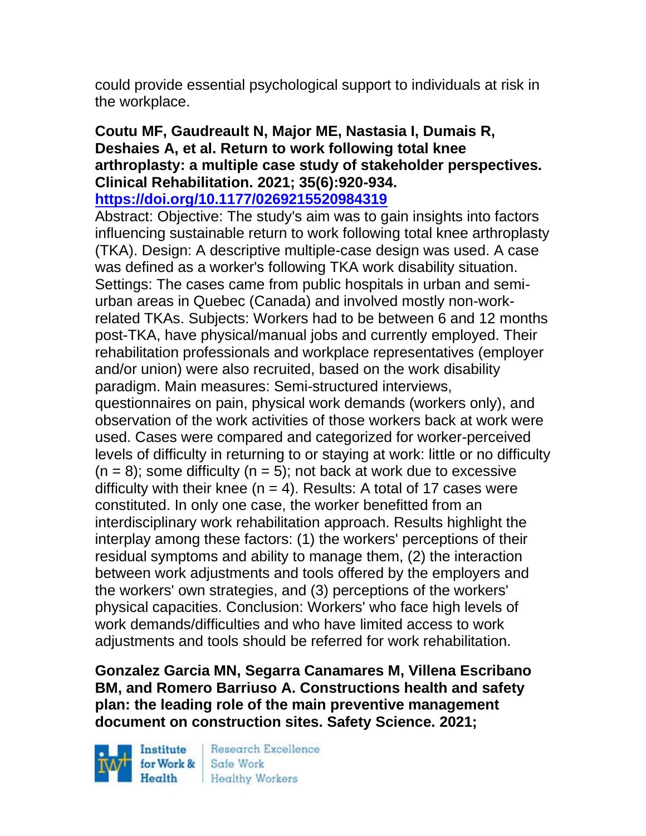could provide essential psychological support to individuals at risk in the workplace.

# **Coutu MF, Gaudreault N, Major ME, Nastasia I, Dumais R, Deshaies A, et al. Return to work following total knee arthroplasty: a multiple case study of stakeholder perspectives. Clinical Rehabilitation. 2021; 35(6):920-934.**

#### **<https://doi.org/10.1177/0269215520984319>**

Abstract: Objective: The study's aim was to gain insights into factors influencing sustainable return to work following total knee arthroplasty (TKA). Design: A descriptive multiple-case design was used. A case was defined as a worker's following TKA work disability situation. Settings: The cases came from public hospitals in urban and semiurban areas in Quebec (Canada) and involved mostly non-workrelated TKAs. Subjects: Workers had to be between 6 and 12 months post-TKA, have physical/manual jobs and currently employed. Their rehabilitation professionals and workplace representatives (employer and/or union) were also recruited, based on the work disability paradigm. Main measures: Semi-structured interviews, questionnaires on pain, physical work demands (workers only), and observation of the work activities of those workers back at work were used. Cases were compared and categorized for worker-perceived levels of difficulty in returning to or staying at work: little or no difficulty  $(n = 8)$ ; some difficulty  $(n = 5)$ ; not back at work due to excessive difficulty with their knee  $(n = 4)$ . Results: A total of 17 cases were constituted. In only one case, the worker benefitted from an interdisciplinary work rehabilitation approach. Results highlight the interplay among these factors: (1) the workers' perceptions of their residual symptoms and ability to manage them, (2) the interaction between work adjustments and tools offered by the employers and the workers' own strategies, and (3) perceptions of the workers'

physical capacities. Conclusion: Workers' who face high levels of work demands/difficulties and who have limited access to work adjustments and tools should be referred for work rehabilitation.

**Gonzalez Garcia MN, Segarra Canamares M, Villena Escribano BM, and Romero Barriuso A. Constructions health and safety plan: the leading role of the main preventive management document on construction sites. Safety Science. 2021;** 

Institute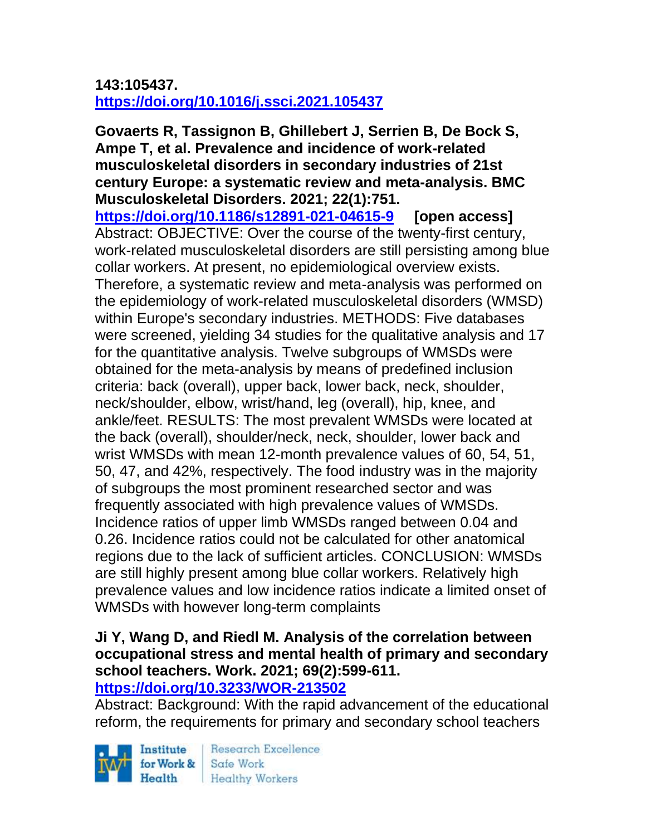## **143:105437. <https://doi.org/10.1016/j.ssci.2021.105437>**

**Govaerts R, Tassignon B, Ghillebert J, Serrien B, De Bock S, Ampe T, et al. Prevalence and incidence of work-related musculoskeletal disorders in secondary industries of 21st century Europe: a systematic review and meta-analysis. BMC Musculoskeletal Disorders. 2021; 22(1):751. <https://doi.org/10.1186/s12891-021-04615-9> [open access]** Abstract: OBJECTIVE: Over the course of the twenty-first century, work-related musculoskeletal disorders are still persisting among blue collar workers. At present, no epidemiological overview exists. Therefore, a systematic review and meta-analysis was performed on the epidemiology of work-related musculoskeletal disorders (WMSD) within Europe's secondary industries. METHODS: Five databases were screened, yielding 34 studies for the qualitative analysis and 17 for the quantitative analysis. Twelve subgroups of WMSDs were obtained for the meta-analysis by means of predefined inclusion criteria: back (overall), upper back, lower back, neck, shoulder, neck/shoulder, elbow, wrist/hand, leg (overall), hip, knee, and ankle/feet. RESULTS: The most prevalent WMSDs were located at the back (overall), shoulder/neck, neck, shoulder, lower back and wrist WMSDs with mean 12-month prevalence values of 60, 54, 51, 50, 47, and 42%, respectively. The food industry was in the majority of subgroups the most prominent researched sector and was frequently associated with high prevalence values of WMSDs. Incidence ratios of upper limb WMSDs ranged between 0.04 and 0.26. Incidence ratios could not be calculated for other anatomical regions due to the lack of sufficient articles. CONCLUSION: WMSDs are still highly present among blue collar workers. Relatively high prevalence values and low incidence ratios indicate a limited onset of WMSDs with however long-term complaints

# **Ji Y, Wang D, and Riedl M. Analysis of the correlation between occupational stress and mental health of primary and secondary school teachers. Work. 2021; 69(2):599-611.**

#### **<https://doi.org/10.3233/WOR-213502>**

Abstract: Background: With the rapid advancement of the educational reform, the requirements for primary and secondary school teachers

Institute Health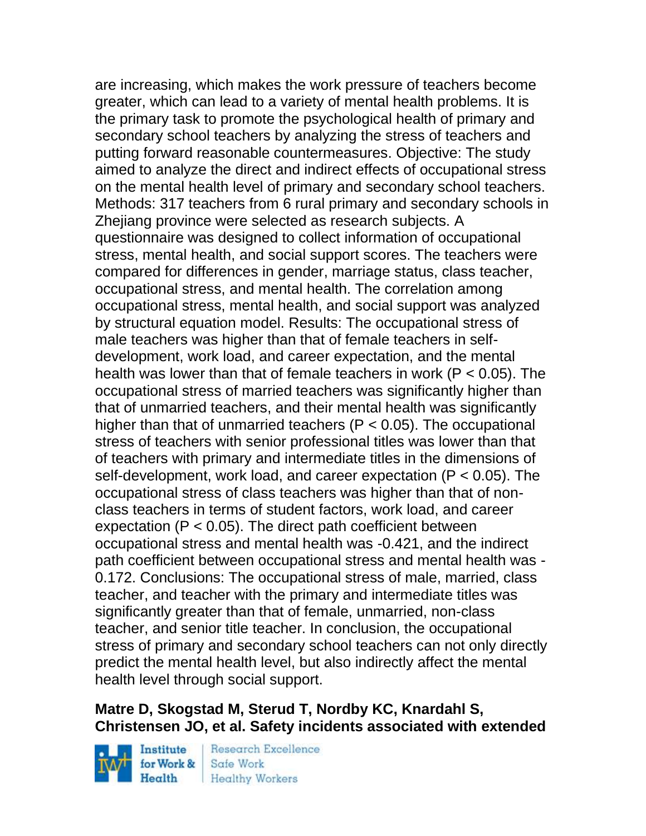are increasing, which makes the work pressure of teachers become greater, which can lead to a variety of mental health problems. It is the primary task to promote the psychological health of primary and secondary school teachers by analyzing the stress of teachers and putting forward reasonable countermeasures. Objective: The study aimed to analyze the direct and indirect effects of occupational stress on the mental health level of primary and secondary school teachers. Methods: 317 teachers from 6 rural primary and secondary schools in Zhejiang province were selected as research subjects. A questionnaire was designed to collect information of occupational stress, mental health, and social support scores. The teachers were compared for differences in gender, marriage status, class teacher, occupational stress, and mental health. The correlation among occupational stress, mental health, and social support was analyzed by structural equation model. Results: The occupational stress of male teachers was higher than that of female teachers in selfdevelopment, work load, and career expectation, and the mental health was lower than that of female teachers in work (P < 0.05). The occupational stress of married teachers was significantly higher than that of unmarried teachers, and their mental health was significantly higher than that of unmarried teachers ( $P < 0.05$ ). The occupational stress of teachers with senior professional titles was lower than that of teachers with primary and intermediate titles in the dimensions of self-development, work load, and career expectation (P < 0.05). The occupational stress of class teachers was higher than that of nonclass teachers in terms of student factors, work load, and career expectation (P < 0.05). The direct path coefficient between occupational stress and mental health was -0.421, and the indirect path coefficient between occupational stress and mental health was - 0.172. Conclusions: The occupational stress of male, married, class teacher, and teacher with the primary and intermediate titles was significantly greater than that of female, unmarried, non-class teacher, and senior title teacher. In conclusion, the occupational stress of primary and secondary school teachers can not only directly predict the mental health level, but also indirectly affect the mental health level through social support.

# **Matre D, Skogstad M, Sterud T, Nordby KC, Knardahl S, Christensen JO, et al. Safety incidents associated with extended**

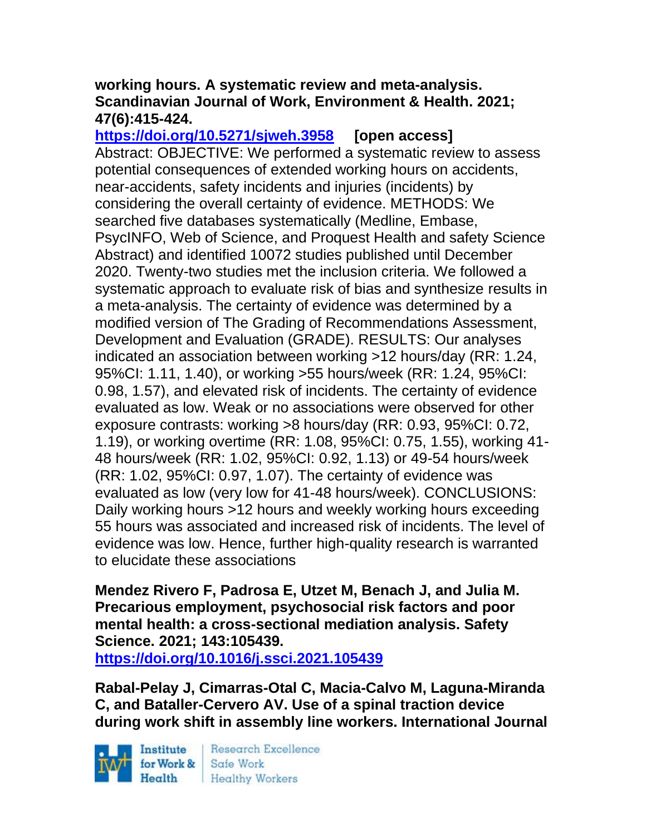### **working hours. A systematic review and meta-analysis. Scandinavian Journal of Work, Environment & Health. 2021; 47(6):415-424.**

**<https://doi.org/10.5271/sjweh.3958> [open access]** Abstract: OBJECTIVE: We performed a systematic review to assess potential consequences of extended working hours on accidents, near-accidents, safety incidents and injuries (incidents) by considering the overall certainty of evidence. METHODS: We searched five databases systematically (Medline, Embase, PsycINFO, Web of Science, and Proquest Health and safety Science Abstract) and identified 10072 studies published until December 2020. Twenty-two studies met the inclusion criteria. We followed a systematic approach to evaluate risk of bias and synthesize results in a meta-analysis. The certainty of evidence was determined by a modified version of The Grading of Recommendations Assessment, Development and Evaluation (GRADE). RESULTS: Our analyses indicated an association between working >12 hours/day (RR: 1.24, 95%CI: 1.11, 1.40), or working >55 hours/week (RR: 1.24, 95%CI: 0.98, 1.57), and elevated risk of incidents. The certainty of evidence evaluated as low. Weak or no associations were observed for other exposure contrasts: working >8 hours/day (RR: 0.93, 95%CI: 0.72, 1.19), or working overtime (RR: 1.08, 95%CI: 0.75, 1.55), working 41- 48 hours/week (RR: 1.02, 95%CI: 0.92, 1.13) or 49-54 hours/week (RR: 1.02, 95%CI: 0.97, 1.07). The certainty of evidence was evaluated as low (very low for 41-48 hours/week). CONCLUSIONS: Daily working hours >12 hours and weekly working hours exceeding 55 hours was associated and increased risk of incidents. The level of evidence was low. Hence, further high-quality research is warranted to elucidate these associations

**Mendez Rivero F, Padrosa E, Utzet M, Benach J, and Julia M. Precarious employment, psychosocial risk factors and poor mental health: a cross-sectional mediation analysis. Safety Science. 2021; 143:105439.**

**<https://doi.org/10.1016/j.ssci.2021.105439>** 

**Rabal-Pelay J, Cimarras-Otal C, Macia-Calvo M, Laguna-Miranda C, and Bataller-Cervero AV. Use of a spinal traction device during work shift in assembly line workers. International Journal** 

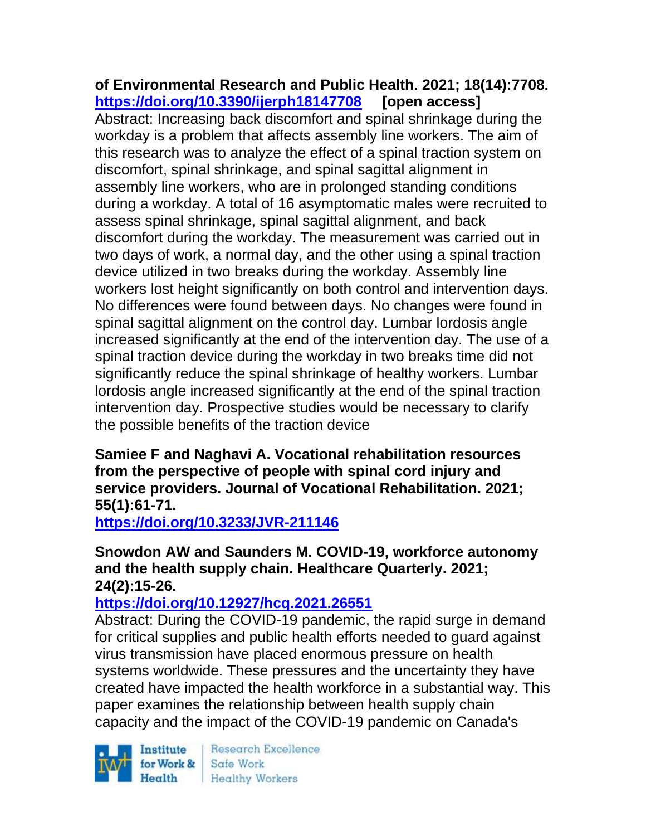**of Environmental Research and Public Health. 2021; 18(14):7708. <https://doi.org/10.3390/ijerph18147708> [open access]** Abstract: Increasing back discomfort and spinal shrinkage during the workday is a problem that affects assembly line workers. The aim of this research was to analyze the effect of a spinal traction system on discomfort, spinal shrinkage, and spinal sagittal alignment in assembly line workers, who are in prolonged standing conditions during a workday. A total of 16 asymptomatic males were recruited to assess spinal shrinkage, spinal sagittal alignment, and back discomfort during the workday. The measurement was carried out in two days of work, a normal day, and the other using a spinal traction device utilized in two breaks during the workday. Assembly line workers lost height significantly on both control and intervention days. No differences were found between days. No changes were found in spinal sagittal alignment on the control day. Lumbar lordosis angle increased significantly at the end of the intervention day. The use of a spinal traction device during the workday in two breaks time did not significantly reduce the spinal shrinkage of healthy workers. Lumbar lordosis angle increased significantly at the end of the spinal traction intervention day. Prospective studies would be necessary to clarify the possible benefits of the traction device

**Samiee F and Naghavi A. Vocational rehabilitation resources from the perspective of people with spinal cord injury and service providers. Journal of Vocational Rehabilitation. 2021; 55(1):61-71.** 

**<https://doi.org/10.3233/JVR-211146>** 

## **Snowdon AW and Saunders M. COVID-19, workforce autonomy and the health supply chain. Healthcare Quarterly. 2021; 24(2):15-26.**

## **<https://doi.org/10.12927/hcq.2021.26551>**

Abstract: During the COVID-19 pandemic, the rapid surge in demand for critical supplies and public health efforts needed to guard against virus transmission have placed enormous pressure on health systems worldwide. These pressures and the uncertainty they have created have impacted the health workforce in a substantial way. This paper examines the relationship between health supply chain capacity and the impact of the COVID-19 pandemic on Canada's

Institute Health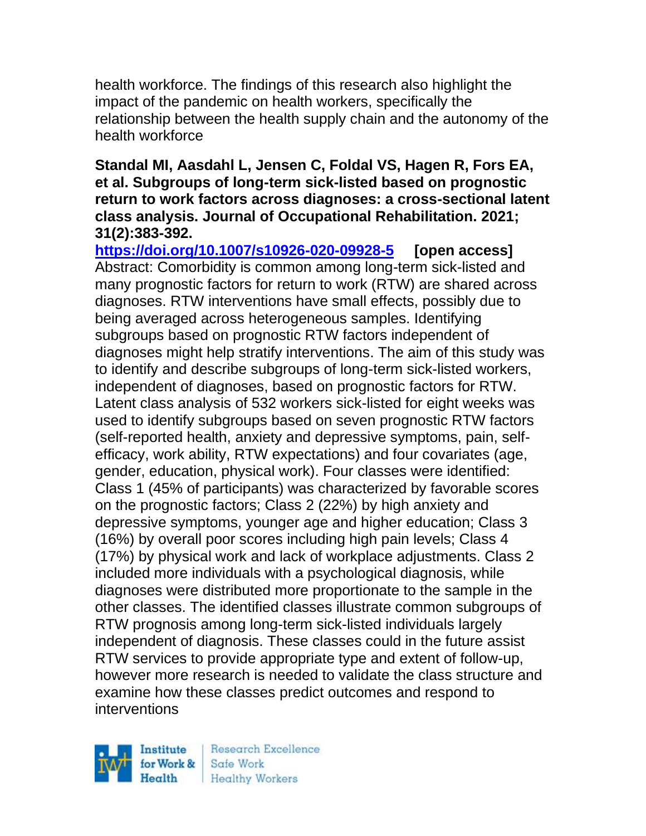health workforce. The findings of this research also highlight the impact of the pandemic on health workers, specifically the relationship between the health supply chain and the autonomy of the health workforce

### **Standal MI, Aasdahl L, Jensen C, Foldal VS, Hagen R, Fors EA, et al. Subgroups of long-term sick-listed based on prognostic return to work factors across diagnoses: a cross-sectional latent class analysis. Journal of Occupational Rehabilitation. 2021; 31(2):383-392.**

**<https://doi.org/10.1007/s10926-020-09928-5> [open access]** Abstract: Comorbidity is common among long-term sick-listed and many prognostic factors for return to work (RTW) are shared across diagnoses. RTW interventions have small effects, possibly due to being averaged across heterogeneous samples. Identifying subgroups based on prognostic RTW factors independent of diagnoses might help stratify interventions. The aim of this study was to identify and describe subgroups of long-term sick-listed workers, independent of diagnoses, based on prognostic factors for RTW. Latent class analysis of 532 workers sick-listed for eight weeks was used to identify subgroups based on seven prognostic RTW factors (self-reported health, anxiety and depressive symptoms, pain, selfefficacy, work ability, RTW expectations) and four covariates (age, gender, education, physical work). Four classes were identified: Class 1 (45% of participants) was characterized by favorable scores on the prognostic factors; Class 2 (22%) by high anxiety and depressive symptoms, younger age and higher education; Class 3 (16%) by overall poor scores including high pain levels; Class 4 (17%) by physical work and lack of workplace adjustments. Class 2 included more individuals with a psychological diagnosis, while diagnoses were distributed more proportionate to the sample in the other classes. The identified classes illustrate common subgroups of RTW prognosis among long-term sick-listed individuals largely independent of diagnosis. These classes could in the future assist RTW services to provide appropriate type and extent of follow-up, however more research is needed to validate the class structure and examine how these classes predict outcomes and respond to interventions

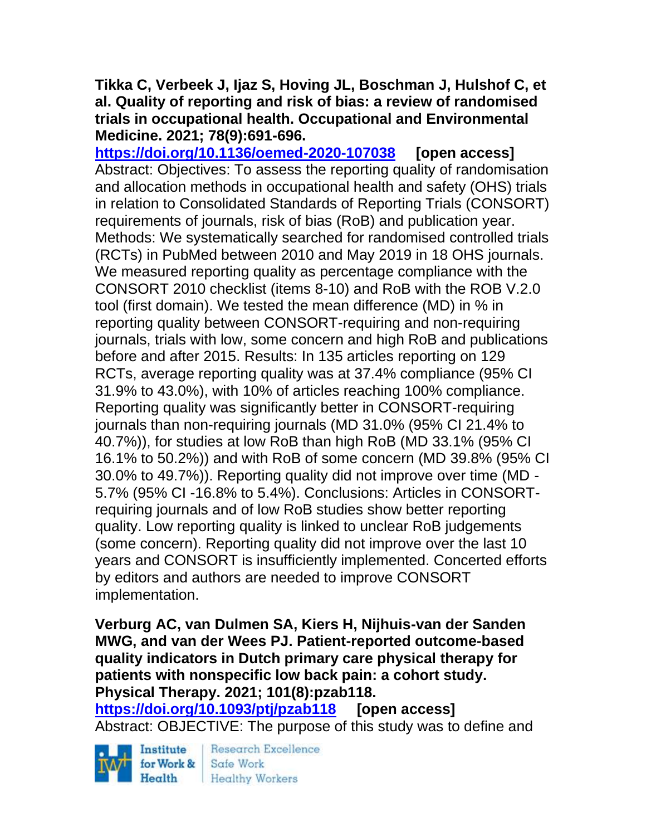### **Tikka C, Verbeek J, Ijaz S, Hoving JL, Boschman J, Hulshof C, et al. Quality of reporting and risk of bias: a review of randomised trials in occupational health. Occupational and Environmental Medicine. 2021; 78(9):691-696.**

**<https://doi.org/10.1136/oemed-2020-107038> [open access]** Abstract: Objectives: To assess the reporting quality of randomisation and allocation methods in occupational health and safety (OHS) trials in relation to Consolidated Standards of Reporting Trials (CONSORT) requirements of journals, risk of bias (RoB) and publication year. Methods: We systematically searched for randomised controlled trials (RCTs) in PubMed between 2010 and May 2019 in 18 OHS journals. We measured reporting quality as percentage compliance with the CONSORT 2010 checklist (items 8-10) and RoB with the ROB V.2.0 tool (first domain). We tested the mean difference (MD) in % in reporting quality between CONSORT-requiring and non-requiring journals, trials with low, some concern and high RoB and publications before and after 2015. Results: In 135 articles reporting on 129 RCTs, average reporting quality was at 37.4% compliance (95% CI 31.9% to 43.0%), with 10% of articles reaching 100% compliance. Reporting quality was significantly better in CONSORT-requiring journals than non-requiring journals (MD 31.0% (95% CI 21.4% to 40.7%)), for studies at low RoB than high RoB (MD 33.1% (95% CI 16.1% to 50.2%)) and with RoB of some concern (MD 39.8% (95% CI 30.0% to 49.7%)). Reporting quality did not improve over time (MD - 5.7% (95% CI -16.8% to 5.4%). Conclusions: Articles in CONSORTrequiring journals and of low RoB studies show better reporting quality. Low reporting quality is linked to unclear RoB judgements (some concern). Reporting quality did not improve over the last 10 years and CONSORT is insufficiently implemented. Concerted efforts by editors and authors are needed to improve CONSORT implementation.

**Verburg AC, van Dulmen SA, Kiers H, Nijhuis-van der Sanden MWG, and van der Wees PJ. Patient-reported outcome-based quality indicators in Dutch primary care physical therapy for patients with nonspecific low back pain: a cohort study. Physical Therapy. 2021; 101(8):pzab118.**

**<https://doi.org/10.1093/ptj/pzab118> [open access]** Abstract: OBJECTIVE: The purpose of this study was to define and

Institute Health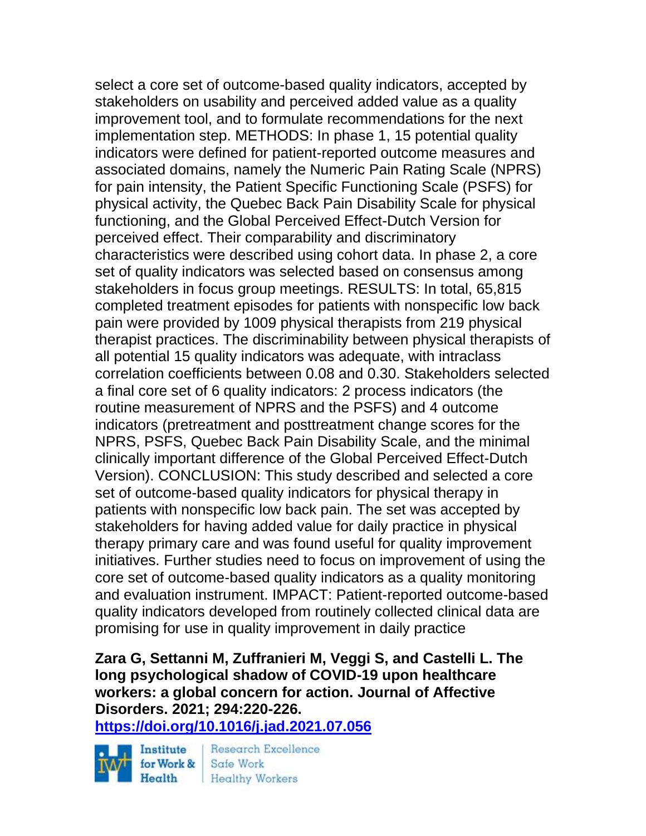select a core set of outcome-based quality indicators, accepted by stakeholders on usability and perceived added value as a quality improvement tool, and to formulate recommendations for the next implementation step. METHODS: In phase 1, 15 potential quality indicators were defined for patient-reported outcome measures and associated domains, namely the Numeric Pain Rating Scale (NPRS) for pain intensity, the Patient Specific Functioning Scale (PSFS) for physical activity, the Quebec Back Pain Disability Scale for physical functioning, and the Global Perceived Effect-Dutch Version for perceived effect. Their comparability and discriminatory characteristics were described using cohort data. In phase 2, a core set of quality indicators was selected based on consensus among stakeholders in focus group meetings. RESULTS: In total, 65,815 completed treatment episodes for patients with nonspecific low back pain were provided by 1009 physical therapists from 219 physical therapist practices. The discriminability between physical therapists of all potential 15 quality indicators was adequate, with intraclass correlation coefficients between 0.08 and 0.30. Stakeholders selected a final core set of 6 quality indicators: 2 process indicators (the routine measurement of NPRS and the PSFS) and 4 outcome indicators (pretreatment and posttreatment change scores for the NPRS, PSFS, Quebec Back Pain Disability Scale, and the minimal clinically important difference of the Global Perceived Effect-Dutch Version). CONCLUSION: This study described and selected a core set of outcome-based quality indicators for physical therapy in patients with nonspecific low back pain. The set was accepted by stakeholders for having added value for daily practice in physical therapy primary care and was found useful for quality improvement initiatives. Further studies need to focus on improvement of using the core set of outcome-based quality indicators as a quality monitoring and evaluation instrument. IMPACT: Patient-reported outcome-based quality indicators developed from routinely collected clinical data are promising for use in quality improvement in daily practice

**Zara G, Settanni M, Zuffranieri M, Veggi S, and Castelli L. The long psychological shadow of COVID-19 upon healthcare workers: a global concern for action. Journal of Affective Disorders. 2021; 294:220-226.** 

**<https://doi.org/10.1016/j.jad.2021.07.056>** 

Institute for Work &